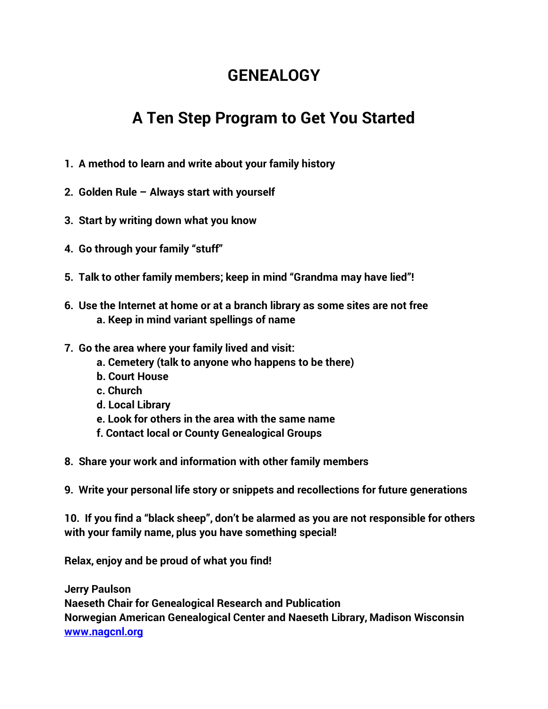## **GENEALOGY**

## **A Ten Step Program to Get You Started**

- **1. A method to learn and write about your family history**
- **2. Golden Rule – Always start with yourself**
- **3. Start by writing down what you know**
- **4. Go through your family "stuff"**
- **5. Talk to other family members; keep in mind "Grandma may have lied"!**
- **6. Use the Internet at home or at a branch library as some sites are not free a. Keep in mind variant spellings of name**
- **7. Go the area where your family lived and visit:**
	- **a. Cemetery (talk to anyone who happens to be there)**
	- **b. Court House**
	- **c. Church**
	- **d. Local Library**
	- **e. Look for others in the area with the same name**
	- **f. Contact local or County Genealogical Groups**
- **8. Share your work and information with other family members**
- **9. Write your personal life story or snippets and recollections for future generations**

**10. If you find a "black sheep", don't be alarmed as you are not responsible for others with your family name, plus you have something special!**

**Relax, enjoy and be proud of what you find!**

**Jerry Paulson Naeseth Chair for Genealogical Research and Publication Norwegian American Genealogical Center and Naeseth Library, Madison Wisconsin [www.nagcnl.org](http://www.nagcnl.org/)**